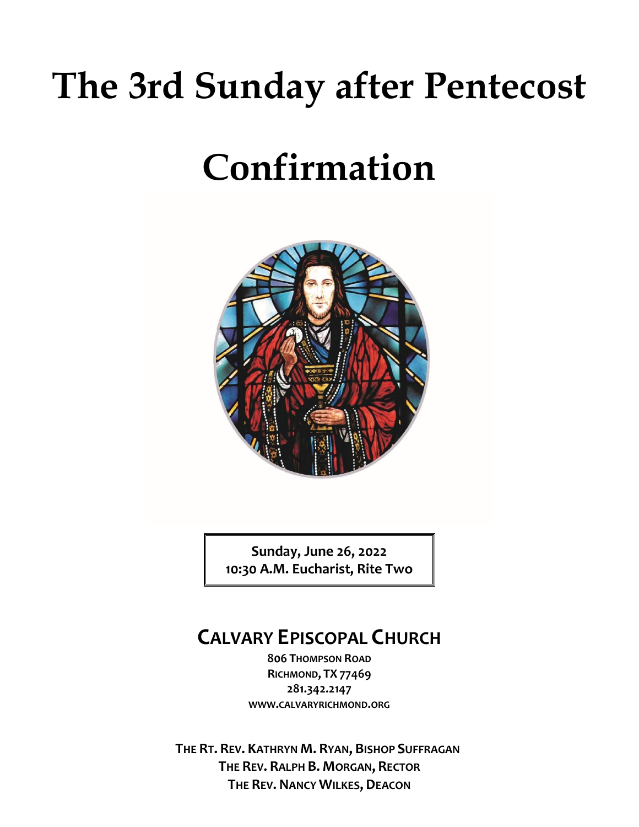# **The 3rd Sunday after Pentecost**

## **Confirmation**



**Sunday, June 26, 2022 10:30 A.M. Eucharist, Rite Two**

## **CALVARY EPISCOPAL CHURCH**

**806 THOMPSON ROAD RICHMOND, TX 77469 281.342.2147 WWW.CALVARYRICHMOND.ORG**

**THE RT. REV. KATHRYN M. RYAN, BISHOP SUFFRAGAN THE REV. RALPH B. MORGAN, RECTOR THE REV. NANCY WILKES, DEACON**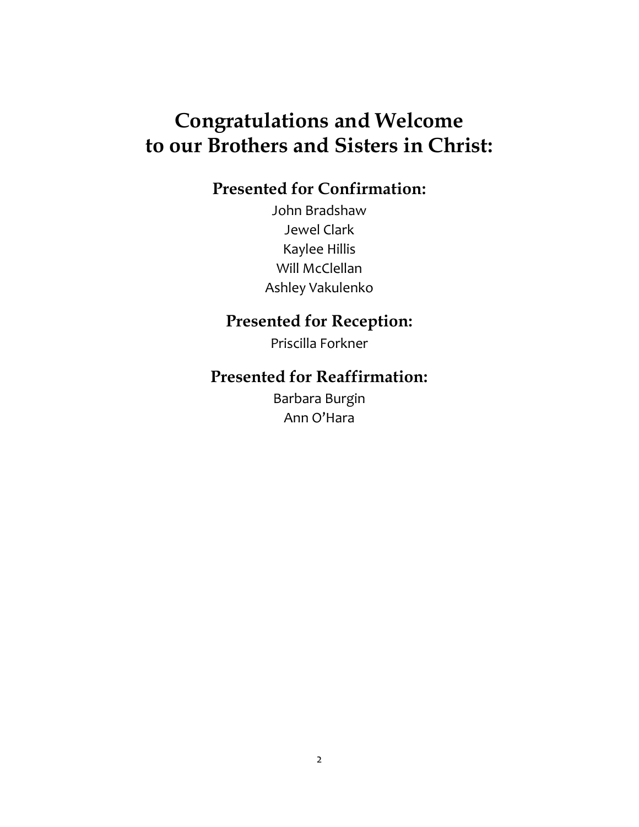## **Congratulations and Welcome to our Brothers and Sisters in Christ:**

## **Presented for Confirmation:**

John Bradshaw Jewel Clark Kaylee Hillis Will McClellan Ashley Vakulenko

### **Presented for Reception:**

Priscilla Forkner

## **Presented for Reaffirmation:**

Barbara Burgin Ann O'Hara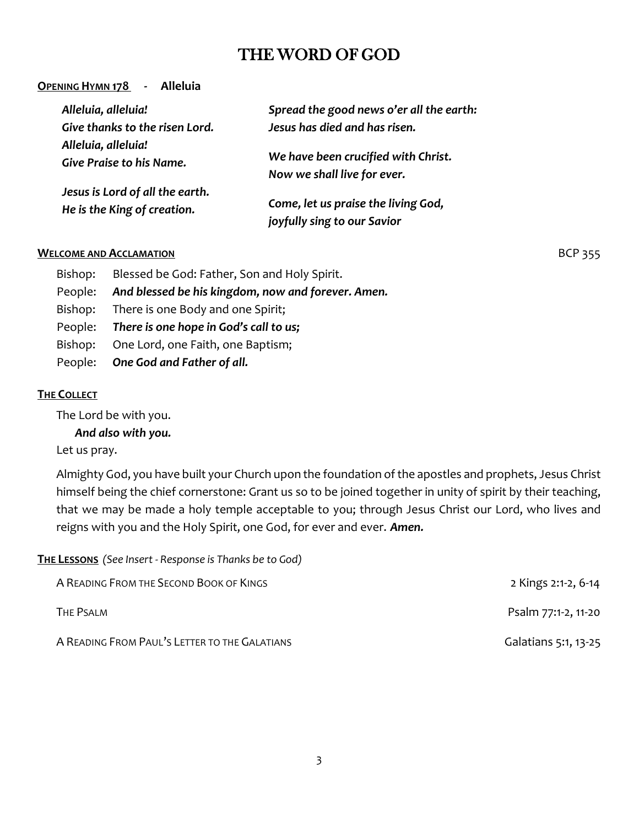## THE WORD OF GOD

#### **OPENING HYMN 178 - Alleluia**

| Alleluia, alleluia!             | Spread the good news o'er all the earth: |
|---------------------------------|------------------------------------------|
| Give thanks to the risen Lord.  | Jesus has died and has risen.            |
| Alleluia, alleluia!             | We have been crucified with Christ.      |
| Give Praise to his Name.        | Now we shall live for ever.              |
| Jesus is Lord of all the earth. | Come, let us praise the living God,      |
| He is the King of creation.     | joyfully sing to our Savior              |

#### **WELCOME AND ACCLAMATION BCP** 355

- Bishop: Blessed be God: Father, Son and Holy Spirit. People: *And blessed be his kingdom, now and forever. Amen.* Bishop: There is one Body and one Spirit;
- People: *There is one hope in God's call to us;*
- Bishop: One Lord, one Faith, one Baptism;
- People: *One God and Father of all.*

#### **THE COLLECT**

The Lord be with you.

#### *And also with you.*

Let us pray.

Almighty God, you have built your Church upon the foundation of the apostles and prophets, Jesus Christ himself being the chief cornerstone: Grant us so to be joined together in unity of spirit by their teaching, that we may be made a holy temple acceptable to you; through Jesus Christ our Lord, who lives and reigns with you and the Holy Spirit, one God, for ever and ever. *Amen.*

#### **THE LESSONS** *(See Insert - Response is Thanks be to God)*

| A READING FROM THE SECOND BOOK OF KINGS       | 2 Kings 2:1-2, 6-14  |
|-----------------------------------------------|----------------------|
| THE PSALM                                     | Psalm 77:1-2, 11-20  |
| A READING FROM PAUL'S LETTER TO THE GALATIANS | Galatians 5:1, 13-25 |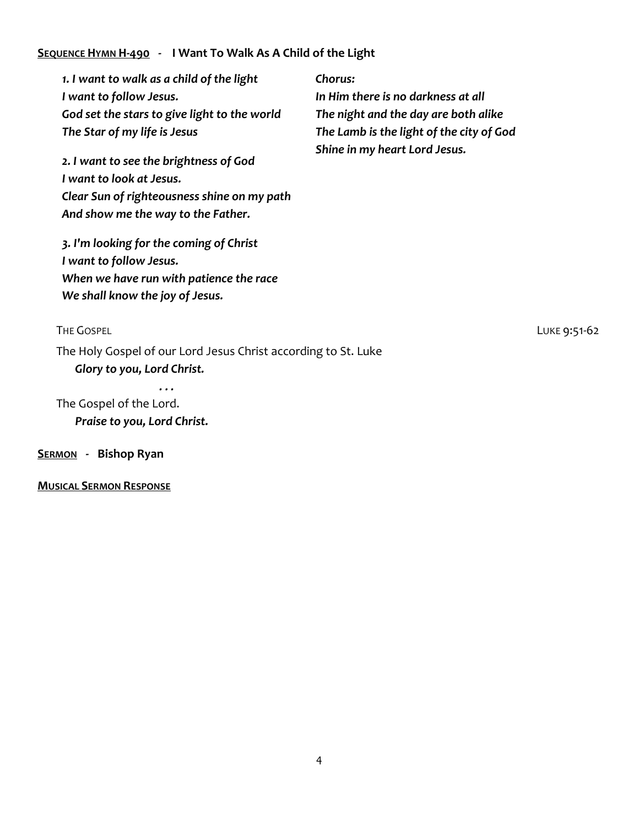### **SEQUENCE HYMN H-490 - I Want To Walk As A Child of the Light**

**MUSICAL SERMON RESPONSE**

| 1. I want to walk as a child of the light                      | Chorus:                                  |              |
|----------------------------------------------------------------|------------------------------------------|--------------|
| I want to follow Jesus.                                        | In Him there is no darkness at all       |              |
| God set the stars to give light to the world                   | The night and the day are both alike     |              |
| The Star of my life is Jesus                                   | The Lamb is the light of the city of God |              |
| 2. I want to see the brightness of God                         | Shine in my heart Lord Jesus.            |              |
| I want to look at Jesus.                                       |                                          |              |
| Clear Sun of righteousness shine on my path                    |                                          |              |
| And show me the way to the Father.                             |                                          |              |
| 3. I'm looking for the coming of Christ                        |                                          |              |
| I want to follow Jesus.                                        |                                          |              |
| When we have run with patience the race                        |                                          |              |
| We shall know the joy of Jesus.                                |                                          |              |
| <b>THE GOSPEL</b>                                              |                                          | LUKE 9:51-62 |
| The Holy Gospel of our Lord Jesus Christ according to St. Luke |                                          |              |
| Glory to you, Lord Christ.                                     |                                          |              |
|                                                                |                                          |              |
| The Gospel of the Lord.                                        |                                          |              |
| Praise to you, Lord Christ.                                    |                                          |              |
| <b>SERMON</b> - Bishop Ryan                                    |                                          |              |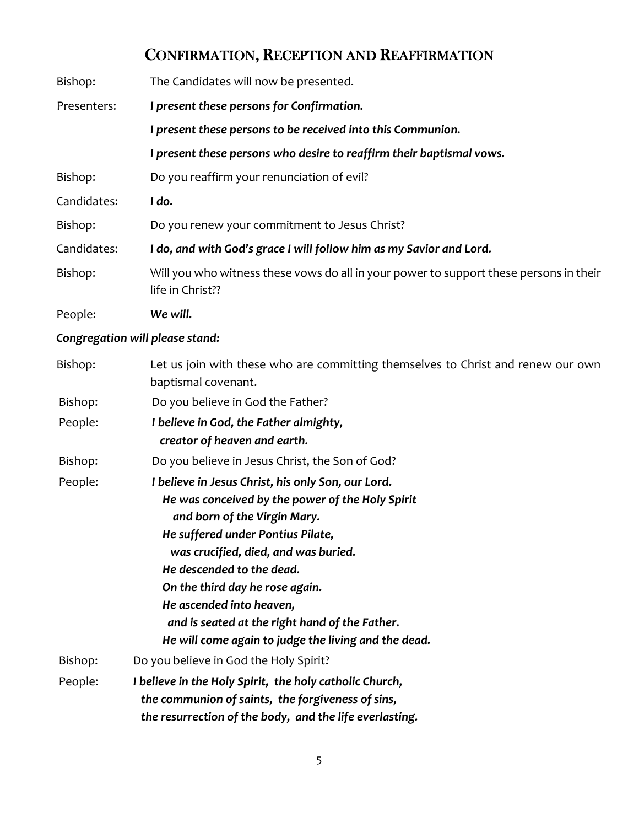## CONFIRMATION, RECEPTION AND REAFFIRMATION

| People:     | We will.                                                                                                   |
|-------------|------------------------------------------------------------------------------------------------------------|
| Bishop:     | Will you who witness these vows do all in your power to support these persons in their<br>life in Christ?? |
| Candidates: | I do, and with God's grace I will follow him as my Savior and Lord.                                        |
| Bishop:     | Do you renew your commitment to Jesus Christ?                                                              |
| Candidates: | I do.                                                                                                      |
| Bishop:     | Do you reaffirm your renunciation of evil?                                                                 |
|             | I present these persons who desire to reaffirm their baptismal vows.                                       |
|             | I present these persons to be received into this Communion.                                                |
| Presenters: | I present these persons for Confirmation.                                                                  |
| Bishop:     | The Candidates will now be presented.                                                                      |
|             |                                                                                                            |

### *Congregation will please stand:*

| Bishop: | Let us join with these who are committing themselves to Christ and renew our own |
|---------|----------------------------------------------------------------------------------|
|         | baptismal covenant.                                                              |
| Bishop: | Do you believe in God the Father?                                                |
| People: | I believe in God, the Father almighty,                                           |
|         | creator of heaven and earth.                                                     |
| Bishop: | Do you believe in Jesus Christ, the Son of God?                                  |
| People: | I believe in Jesus Christ, his only Son, our Lord.                               |
|         | He was conceived by the power of the Holy Spirit                                 |
|         | and born of the Virgin Mary.                                                     |
|         | He suffered under Pontius Pilate,                                                |
|         | was crucified, died, and was buried.                                             |
|         | He descended to the dead.                                                        |
|         | On the third day he rose again.                                                  |
|         | He ascended into heaven,                                                         |
|         | and is seated at the right hand of the Father.                                   |
|         | He will come again to judge the living and the dead.                             |
| Bishop: | Do you believe in God the Holy Spirit?                                           |
| People: | I believe in the Holy Spirit, the holy catholic Church,                          |
|         | the communion of saints, the forgiveness of sins,                                |
|         | the resurrection of the body, and the life everlasting.                          |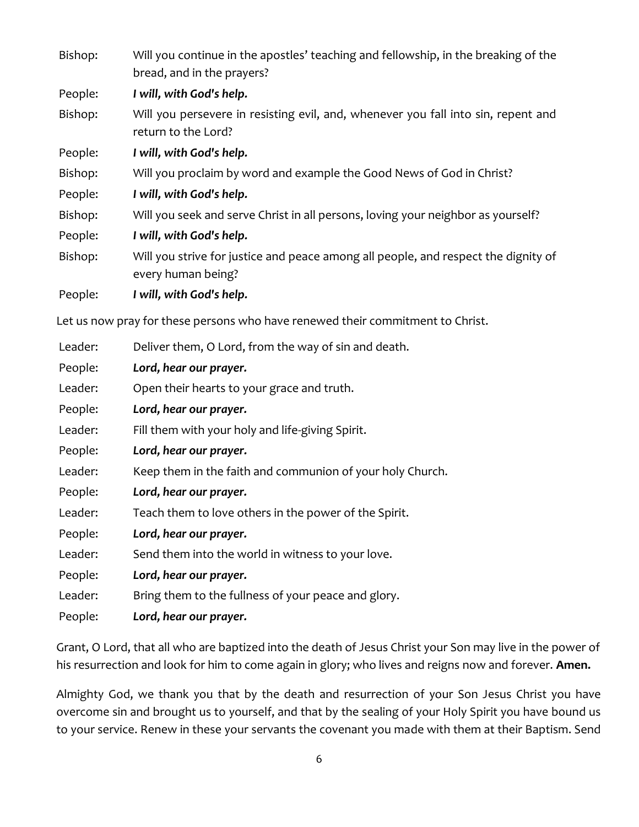| Bishop: | Will you continue in the apostles' teaching and fellowship, in the breaking of the<br>bread, and in the prayers? |
|---------|------------------------------------------------------------------------------------------------------------------|
| People: | I will, with God's help.                                                                                         |
| Bishop: | Will you persevere in resisting evil, and, whenever you fall into sin, repent and<br>return to the Lord?         |
| People: | I will, with God's help.                                                                                         |
| Bishop: | Will you proclaim by word and example the Good News of God in Christ?                                            |
| People: | I will, with God's help.                                                                                         |
| Bishop: | Will you seek and serve Christ in all persons, loving your neighbor as yourself?                                 |
| People: | I will, with God's help.                                                                                         |
| Bishop: | Will you strive for justice and peace among all people, and respect the dignity of<br>every human being?         |
| People: | I will, with God's help.                                                                                         |

Let us now pray for these persons who have renewed their commitment to Christ.

| Leader: | Deliver them, O Lord, from the way of sin and death.      |
|---------|-----------------------------------------------------------|
| People: | Lord, hear our prayer.                                    |
| Leader: | Open their hearts to your grace and truth.                |
| People: | Lord, hear our prayer.                                    |
| Leader: | Fill them with your holy and life-giving Spirit.          |
| People: | Lord, hear our prayer.                                    |
| Leader: | Keep them in the faith and communion of your holy Church. |
| People: | Lord, hear our prayer.                                    |
| Leader: | Teach them to love others in the power of the Spirit.     |
| People: | Lord, hear our prayer.                                    |
| Leader: | Send them into the world in witness to your love.         |
| People: | Lord, hear our prayer.                                    |
| Leader: | Bring them to the fullness of your peace and glory.       |
| People: | Lord, hear our prayer.                                    |

Grant, O Lord, that all who are baptized into the death of Jesus Christ your Son may live in the power of his resurrection and look for him to come again in glory; who lives and reigns now and forever. **Amen.**

Almighty God, we thank you that by the death and resurrection of your Son Jesus Christ you have overcome sin and brought us to yourself, and that by the sealing of your Holy Spirit you have bound us to your service. Renew in these your servants the covenant you made with them at their Baptism. Send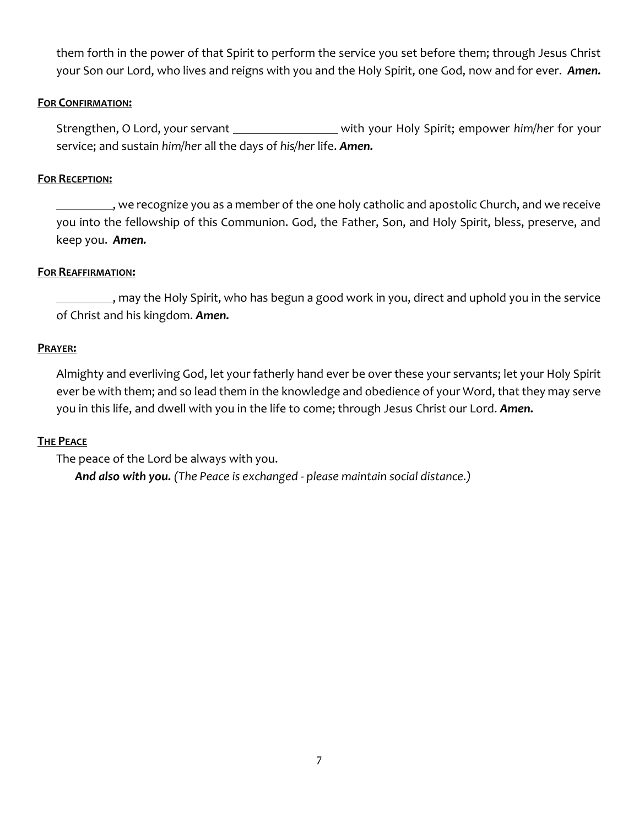them forth in the power of that Spirit to perform the service you set before them; through Jesus Christ your Son our Lord, who lives and reigns with you and the Holy Spirit, one God, now and for ever. *Amen.*

#### **FOR CONFIRMATION:**

Strengthen, O Lord, your servant with your Holy Spirit; empower *him/her* for your service; and sustain *him/her* all the days of *his/her* life. *Amen.*

#### **FOR RECEPTION:**

we recognize you as a member of the one holy catholic and apostolic Church, and we receive you into the fellowship of this Communion. God, the Father, Son, and Holy Spirit, bless, preserve, and keep you. *Amen.*

#### **FOR REAFFIRMATION:**

 $\_\_\_\,,$  may the Holy Spirit, who has begun a good work in you, direct and uphold you in the service of Christ and his kingdom. *Amen.*

#### **PRAYER:**

Almighty and everliving God, let your fatherly hand ever be over these your servants; let your Holy Spirit ever be with them; and so lead them in the knowledge and obedience of your Word, that they may serve you in this life, and dwell with you in the life to come; through Jesus Christ our Lord. *Amen.*

#### **THE PEACE**

The peace of the Lord be always with you. *And also with you. (The Peace is exchanged - please maintain social distance.)*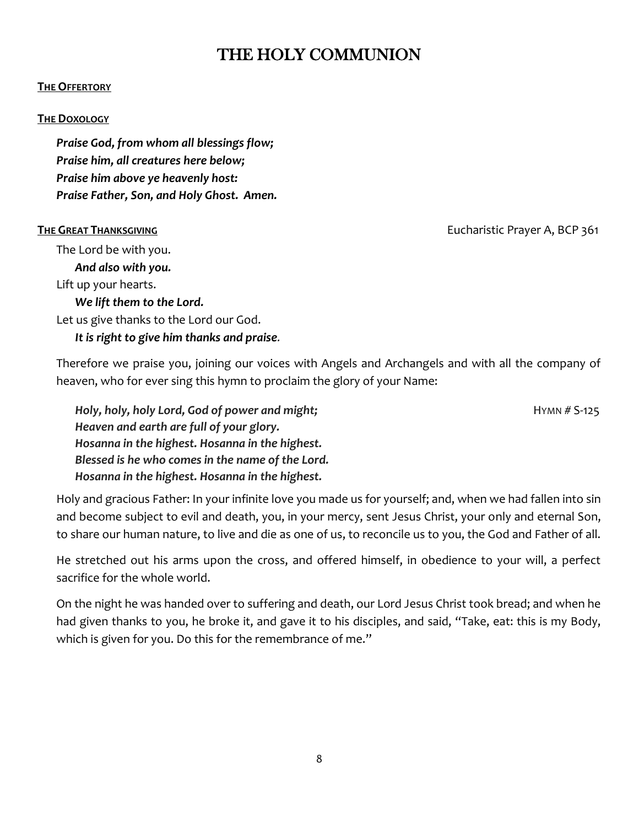## THE HOLY COMMUNION

#### **THE OFFERTORY**

#### **THE DOXOLOGY**

*Praise God, from whom all blessings flow; Praise him, all creatures here below; Praise him above ye heavenly host: Praise Father, Son, and Holy Ghost. Amen.* 

The Lord be with you. *And also with you.* Lift up your hearts. *We lift them to the Lord.* Let us give thanks to the Lord our God. *It is right to give him thanks and praise.*

**THE GREAT THANKSGIVING**<br> **Eucharistic Prayer A, BCP 361** 

Therefore we praise you, joining our voices with Angels and Archangels and with all the company of heaven, who for ever sing this hymn to proclaim the glory of your Name:

*Holy, holy, holy Lord, God of power and might;* **Holy, holy, holy, holy Lord, God of power and might; H** *Heaven and earth are full of your glory. Hosanna in the highest. Hosanna in the highest. Blessed is he who comes in the name of the Lord. Hosanna in the highest. Hosanna in the highest.*

Holy and gracious Father: In your infinite love you made us for yourself; and, when we had fallen into sin and become subject to evil and death, you, in your mercy, sent Jesus Christ, your only and eternal Son, to share our human nature, to live and die as one of us, to reconcile us to you, the God and Father of all.

He stretched out his arms upon the cross, and offered himself, in obedience to your will, a perfect sacrifice for the whole world.

On the night he was handed over to suffering and death, our Lord Jesus Christ took bread; and when he had given thanks to you, he broke it, and gave it to his disciples, and said, "Take, eat: this is my Body, which is given for you. Do this for the remembrance of me."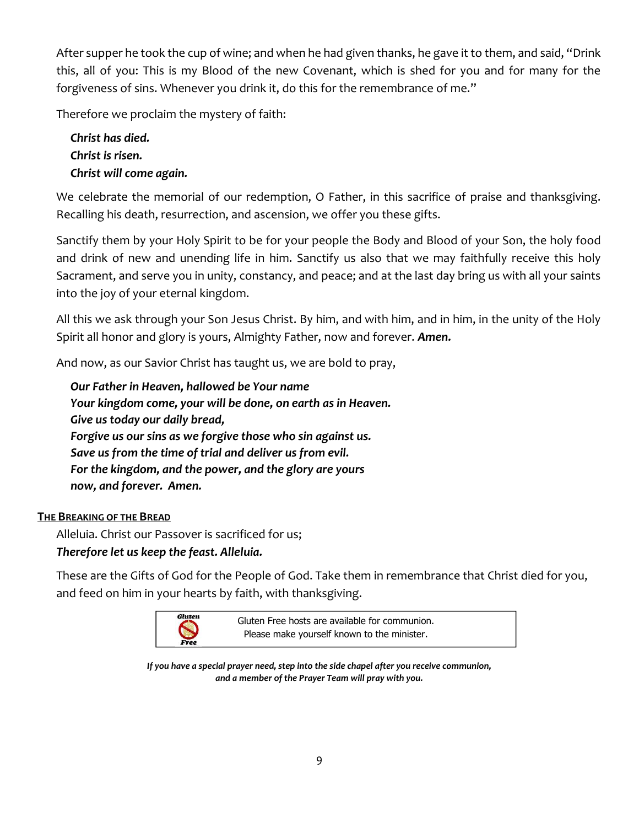After supper he took the cup of wine; and when he had given thanks, he gave it to them, and said, "Drink this, all of you: This is my Blood of the new Covenant, which is shed for you and for many for the forgiveness of sins. Whenever you drink it, do this for the remembrance of me."

Therefore we proclaim the mystery of faith:

*Christ has died. Christ is risen. Christ will come again.*

We celebrate the memorial of our redemption, O Father, in this sacrifice of praise and thanksgiving. Recalling his death, resurrection, and ascension, we offer you these gifts.

Sanctify them by your Holy Spirit to be for your people the Body and Blood of your Son, the holy food and drink of new and unending life in him. Sanctify us also that we may faithfully receive this holy Sacrament, and serve you in unity, constancy, and peace; and at the last day bring us with all your saints into the joy of your eternal kingdom.

All this we ask through your Son Jesus Christ. By him, and with him, and in him, in the unity of the Holy Spirit all honor and glory is yours, Almighty Father, now and forever. *Amen.*

And now, as our Savior Christ has taught us, we are bold to pray,

*Our Father in Heaven, hallowed be Your name Your kingdom come, your will be done, on earth as in Heaven. Give us today our daily bread, Forgive us our sins as we forgive those who sin against us. Save us from the time of trial and deliver us from evil. For the kingdom, and the power, and the glory are yours now, and forever. Amen.*

#### **THE BREAKING OF THE BREAD**

Alleluia. Christ our Passover is sacrificed for us; *Therefore let us keep the feast. Alleluia.*

These are the Gifts of God for the People of God. Take them in remembrance that Christ died for you, and feed on him in your hearts by faith, with thanksgiving.



Gluten Free hosts are available for communion. Please make yourself known to the minister.

*If you have a special prayer need, step into the side chapel after you receive communion, and a member of the Prayer Team will pray with you.*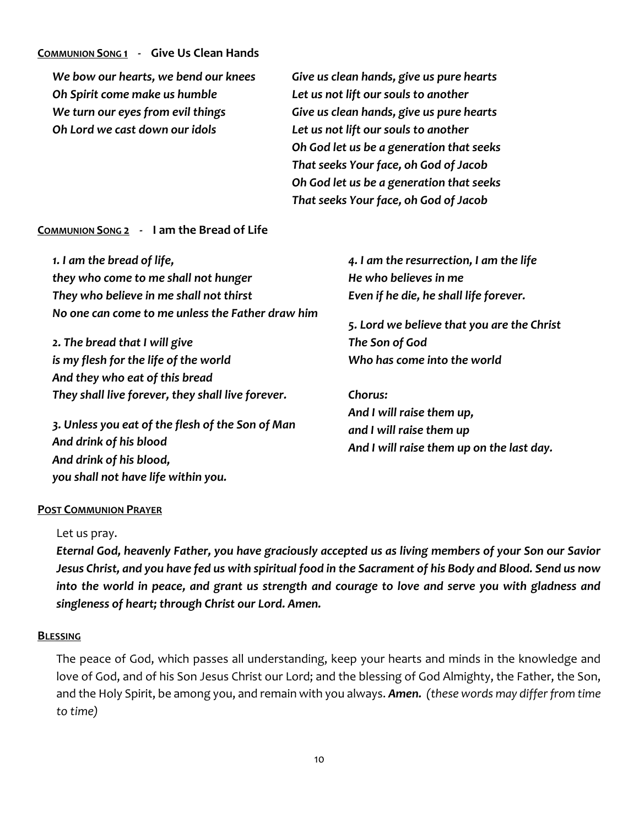#### **COMMUNION SONG 1 - Give Us Clean Hands**

*We bow our hearts, we bend our knees Oh Spirit come make us humble We turn our eyes from evil things Oh Lord we cast down our idols*

*Give us clean hands, give us pure hearts Let us not lift our souls to another Give us clean hands, give us pure hearts Let us not lift our souls to another Oh God let us be a generation that seeks That seeks Your face, oh God of Jacob Oh God let us be a generation that seeks That seeks Your face, oh God of Jacob*

#### **COMMUNION SONG 2 - I am the Bread of Life**

*1. I am the bread of life, they who come to me shall not hunger They who believe in me shall not thirst No one can come to me unless the Father draw him*

*2. The bread that I will give is my flesh for the life of the world And they who eat of this bread They shall live forever, they shall live forever.*

*3. Unless you eat of the flesh of the Son of Man And drink of his blood And drink of his blood, you shall not have life within you.*

*4. I am the resurrection, I am the life He who believes in me Even if he die, he shall life forever.*

*5. Lord we believe that you are the Christ The Son of God Who has come into the world*

*Chorus: And I will raise them up, and I will raise them up And I will raise them up on the last day.*

#### **POST COMMUNION PRAYER**

#### Let us pray.

*Eternal God, heavenly Father, you have graciously accepted us as living members of your Son our Savior Jesus Christ, and you have fed us with spiritual food in the Sacrament of his Body and Blood. Send us now into the world in peace, and grant us strength and courage to love and serve you with gladness and singleness of heart; through Christ our Lord. Amen.*

#### **BLESSING**

The peace of God, which passes all understanding, keep your hearts and minds in the knowledge and love of God, and of his Son Jesus Christ our Lord; and the blessing of God Almighty, the Father, the Son, and the Holy Spirit, be among you, and remain with you always. *Amen. (these words may differ from time to time)*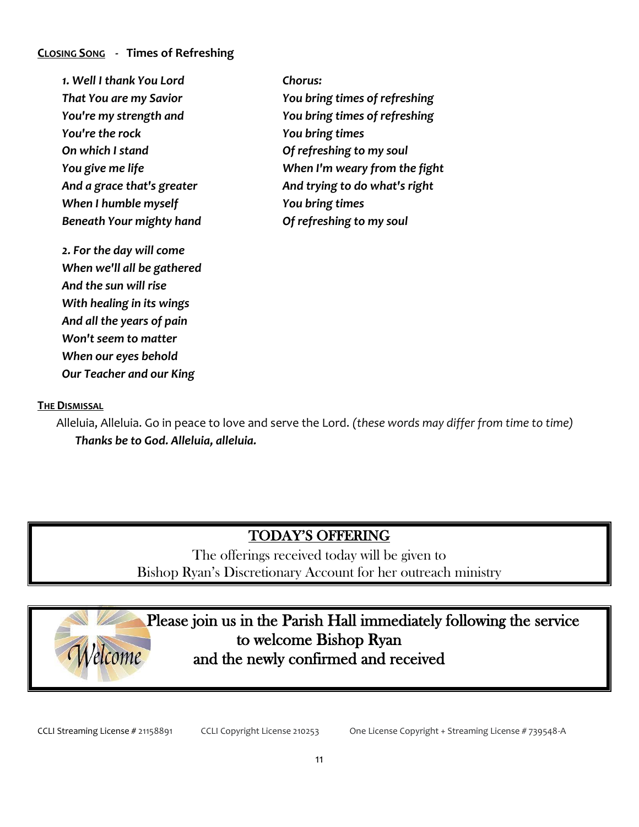#### **CLOSING SONG - Times of Refreshing**

*1. Well I thank You Lord That You are my Savior You're my strength and You're the rock On which I stand You give me life And a grace that's greater When I humble myself Beneath Your mighty hand* 

*2. For the day will come When we'll all be gathered And the sun will rise With healing in its wings And all the years of pain Won't seem to matter When our eyes behold Our Teacher and our King* 

*Chorus: You bring times of refreshing You bring times of refreshing You bring times Of refreshing to my soul When I'm weary from the fight And trying to do what's right You bring times Of refreshing to my soul* 

#### **THE DISMISSAL**

Alleluia, Alleluia. Go in peace to love and serve the Lord. *(these words may differ from time to time) Thanks be to God. Alleluia, alleluia.*

#### TODAY'S OFFERING

The offerings received today will be given to Bishop Ryan's Discretionary Account for her outreach ministry



### Please join us in the Parish Hall immediately following the service to welcome Bishop Ryan and the newly confirmed and received

CCLI Streaming License # 21158891 CCLI Copyright License 210253 One License Copyright + Streaming License # 739548-A